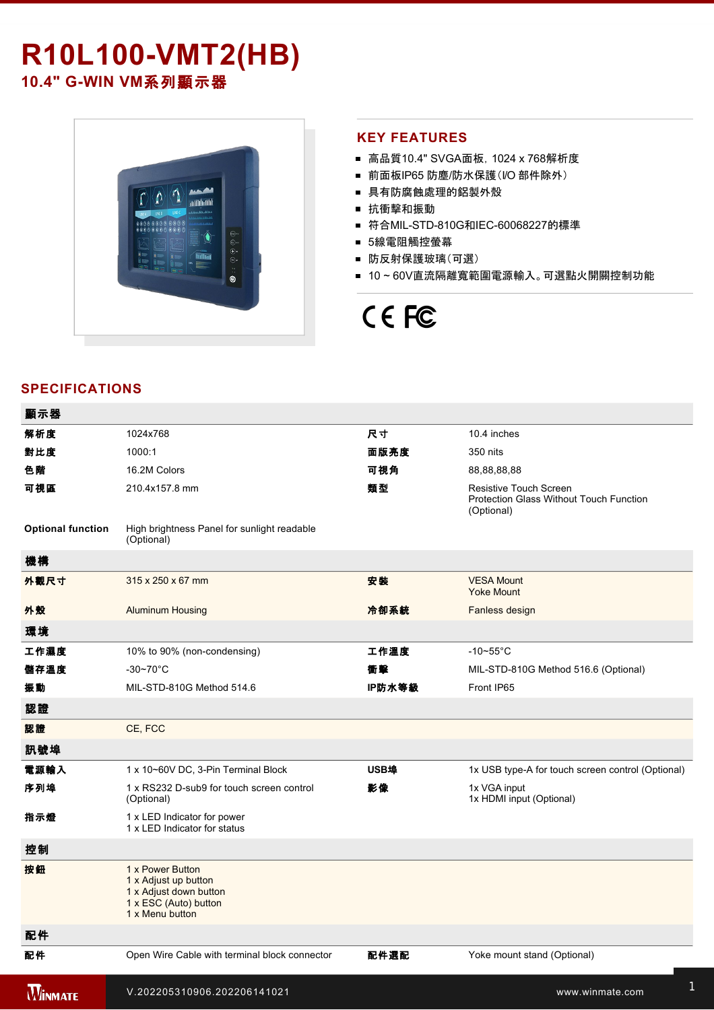# **R10L100-VMT2(HB)**

10.4" G-WIN VM系列顯示器



#### **KEY FEATURES**

- 高品質10.4" SVGA面板, 1024 x 768解析度
- 前面板IP65 防塵/防水保護(I/O 部件除外)
- 具有防腐蝕處理的鋁製外殼
- 抗衝撃和振動
- 符合MIL-STD-810G和IEC-60068227的標準
- 5線電阻觸控螢幕
- 防反射保護玻璃(可選)
- 10~60V直流隔離寬範圍電源輸入。可選點火開關控制功能

External HDMI cable (Optional)

## CE FC

#### **SPECIFICATIONS**

| 顯示器                      |                                                                                                                |        |                                                                                        |
|--------------------------|----------------------------------------------------------------------------------------------------------------|--------|----------------------------------------------------------------------------------------|
| 解析度                      | 1024x768                                                                                                       | 尺寸     | 10.4 inches                                                                            |
| 對比度                      | 1000:1                                                                                                         | 面版亮度   | 350 nits                                                                               |
| 色階                       | 16.2M Colors                                                                                                   | 可視角    | 88, 88, 88, 88                                                                         |
| 可視區                      | 210.4x157.8 mm                                                                                                 | 類型     | <b>Resistive Touch Screen</b><br>Protection Glass Without Touch Function<br>(Optional) |
| <b>Optional function</b> | High brightness Panel for sunlight readable<br>(Optional)                                                      |        |                                                                                        |
| 機構                       |                                                                                                                |        |                                                                                        |
| 外觀尺寸                     | 315 x 250 x 67 mm                                                                                              | 安装     | <b>VESA Mount</b><br><b>Yoke Mount</b>                                                 |
| 外殼                       | <b>Aluminum Housing</b>                                                                                        | 冷卻系統   | Fanless design                                                                         |
| 環境                       |                                                                                                                |        |                                                                                        |
| 工作濕度                     | 10% to 90% (non-condensing)                                                                                    | 工作溫度   | $-10$ ~55°C                                                                            |
| 儲存溫度                     | $-30 - 70$ °C                                                                                                  | 衝撃     | MIL-STD-810G Method 516.6 (Optional)                                                   |
| 振動                       | MIL-STD-810G Method 514.6                                                                                      | IP防水等級 | Front IP65                                                                             |
| 認證                       |                                                                                                                |        |                                                                                        |
| 認證                       | CE, FCC                                                                                                        |        |                                                                                        |
| 訊號埠                      |                                                                                                                |        |                                                                                        |
| 電源輸入                     | 1 x 10~60V DC, 3-Pin Terminal Block                                                                            | USB埠   | 1x USB type-A for touch screen control (Optional)                                      |
| 序列埠                      | 1 x RS232 D-sub9 for touch screen control<br>(Optional)                                                        | 影像     | 1x VGA input<br>1x HDMI input (Optional)                                               |
| 指示燈                      | 1 x LED Indicator for power<br>1 x LED Indicator for status                                                    |        |                                                                                        |
| 控制                       |                                                                                                                |        |                                                                                        |
| 按鈕                       | 1 x Power Button<br>1 x Adjust up button<br>1 x Adjust down button<br>1 x ESC (Auto) button<br>1 x Menu button |        |                                                                                        |
| 配件                       |                                                                                                                |        |                                                                                        |
| 配件                       | Open Wire Cable with terminal block connector                                                                  | 配件選配   | Yoke mount stand (Optional)                                                            |
| <b>WINMATE</b>           | V.202205310906.202206141021                                                                                    |        | www.winmate.com                                                                        |